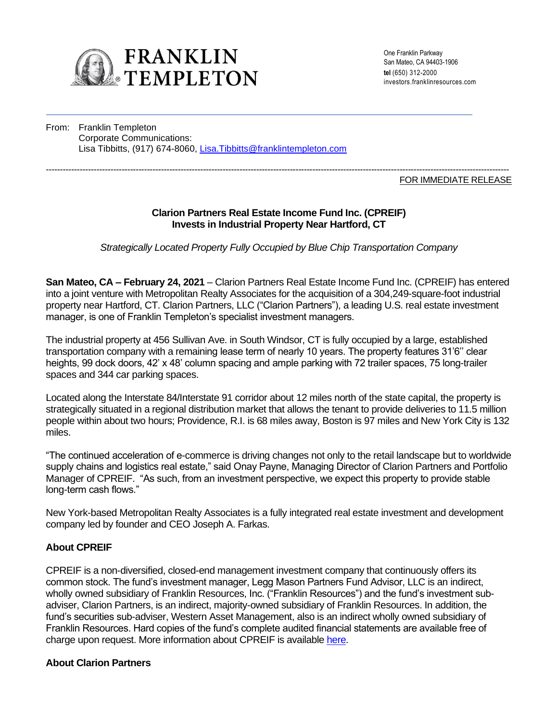

One Franklin Parkway San Mateo, CA 94403-1906 **tel** (650) 312-2000 investors.franklinresources.com

From: Franklin Templeton Corporate Communications: Lisa Tibbitts, (917) 674-8060, Lisa.Tibbitts@franklintempleton.com

#### --------------------------------------------------------------------------------------------------------------------------------------------------------------------- FOR IMMEDIATE RELEASE

# **Clarion Partners Real Estate Income Fund Inc. (CPREIF) Invests in Industrial Property Near Hartford, CT**

*Strategically Located Property Fully Occupied by Blue Chip Transportation Company*

**San Mateo, CA – February 24, 2021** – Clarion Partners Real Estate Income Fund Inc. (CPREIF) has entered into a joint venture with Metropolitan Realty Associates for the acquisition of a 304,249-square-foot industrial property near Hartford, CT. Clarion Partners, LLC ("Clarion Partners"), a leading U.S. real estate investment manager, is one of Franklin Templeton's specialist investment managers.

The industrial property at 456 Sullivan Ave. in South Windsor, CT is fully occupied by a large, established transportation company with a remaining lease term of nearly 10 years. The property features 31'6'' clear heights, 99 dock doors, 42' x 48' column spacing and ample parking with 72 trailer spaces, 75 long-trailer spaces and 344 car parking spaces.

Located along the Interstate 84/Interstate 91 corridor about 12 miles north of the state capital, the property is strategically situated in a regional distribution market that allows the tenant to provide deliveries to 11.5 million people within about two hours; Providence, R.I. is 68 miles away, Boston is 97 miles and New York City is 132 miles.

"The continued acceleration of e-commerce is driving changes not only to the retail landscape but to worldwide supply chains and logistics real estate," said Onay Payne, Managing Director of Clarion Partners and Portfolio Manager of CPREIF. "As such, from an investment perspective, we expect this property to provide stable long-term cash flows."

New York-based Metropolitan Realty Associates is a fully integrated real estate investment and development company led by founder and CEO Joseph A. Farkas.

### **About CPREIF**

CPREIF is a non-diversified, closed-end management investment company that continuously offers its common stock. The fund's investment manager, Legg Mason Partners Fund Advisor, LLC is an indirect, wholly owned subsidiary of Franklin Resources, Inc. ("Franklin Resources") and the fund's investment subadviser, Clarion Partners, is an indirect, majority-owned subsidiary of Franklin Resources. In addition, the fund's securities sub-adviser, Western Asset Management, also is an indirect wholly owned subsidiary of Franklin Resources. Hard copies of the fund's complete audited financial statements are available free of charge upon request. More information about CPREIF is availabl[e here.](https://www.cpreif.com/)

### **About Clarion Partners**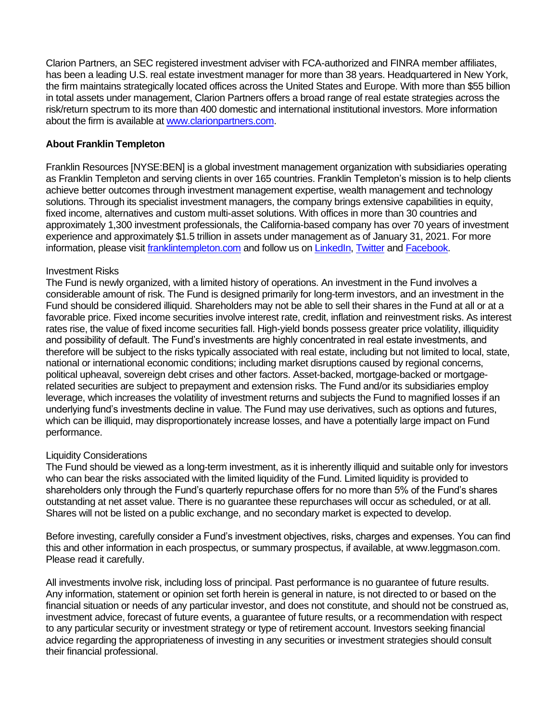Clarion Partners, an SEC registered investment adviser with FCA-authorized and FINRA member affiliates, has been a leading U.S. real estate investment manager for more than 38 years. Headquartered in New York, the firm maintains strategically located offices across the United States and Europe. With more than \$55 billion in total assets under management, Clarion Partners offers a broad range of real estate strategies across the risk/return spectrum to its more than 400 domestic and international institutional investors. More information about the firm is available a[t www.clarionpartners.com.](http://www.clarionpartners.com/)

## **About Franklin Templeton**

Franklin Resources [NYSE:BEN] is a global investment management organization with subsidiaries operating as Franklin Templeton and serving clients in over 165 countries. Franklin Templeton's mission is to help clients achieve better outcomes through investment management expertise, wealth management and technology solutions. Through its specialist investment managers, the company brings extensive capabilities in equity, fixed income, alternatives and custom multi-asset solutions. With offices in more than 30 countries and approximately 1,300 investment professionals, the California-based company has over 70 years of investment experience and approximately \$1.5 trillion in assets under management as of January 31, 2021. For more information, please visit franklintempleton.com and follow us o[n LinkedIn,](https://www.linkedin.com/company/franklin-templeton/mycompany/verification/) [Twitter](https://twitter.com/FTI_US) and [Facebook.](https://www.facebook.com/franklintempleton/)

## Investment Risks

The Fund is newly organized, with a limited history of operations. An investment in the Fund involves a considerable amount of risk. The Fund is designed primarily for long-term investors, and an investment in the Fund should be considered illiquid. Shareholders may not be able to sell their shares in the Fund at all or at a favorable price. Fixed income securities involve interest rate, credit, inflation and reinvestment risks. As interest rates rise, the value of fixed income securities fall. High-yield bonds possess greater price volatility, illiquidity and possibility of default. The Fund's investments are highly concentrated in real estate investments, and therefore will be subject to the risks typically associated with real estate, including but not limited to local, state, national or international economic conditions; including market disruptions caused by regional concerns, political upheaval, sovereign debt crises and other factors. Asset-backed, mortgage-backed or mortgagerelated securities are subject to prepayment and extension risks. The Fund and/or its subsidiaries employ leverage, which increases the volatility of investment returns and subjects the Fund to magnified losses if an underlying fund's investments decline in value. The Fund may use derivatives, such as options and futures, which can be illiquid, may disproportionately increase losses, and have a potentially large impact on Fund performance.

# Liquidity Considerations

The Fund should be viewed as a long-term investment, as it is inherently illiquid and suitable only for investors who can bear the risks associated with the limited liquidity of the Fund. Limited liquidity is provided to shareholders only through the Fund's quarterly repurchase offers for no more than 5% of the Fund's shares outstanding at net asset value. There is no guarantee these repurchases will occur as scheduled, or at all. Shares will not be listed on a public exchange, and no secondary market is expected to develop.

Before investing, carefully consider a Fund's investment objectives, risks, charges and expenses. You can find this and other information in each prospectus, or summary prospectus, if available, at www.leggmason.com. Please read it carefully.

All investments involve risk, including loss of principal. Past performance is no guarantee of future results. Any information, statement or opinion set forth herein is general in nature, is not directed to or based on the financial situation or needs of any particular investor, and does not constitute, and should not be construed as, investment advice, forecast of future events, a guarantee of future results, or a recommendation with respect to any particular security or investment strategy or type of retirement account. Investors seeking financial advice regarding the appropriateness of investing in any securities or investment strategies should consult their financial professional.